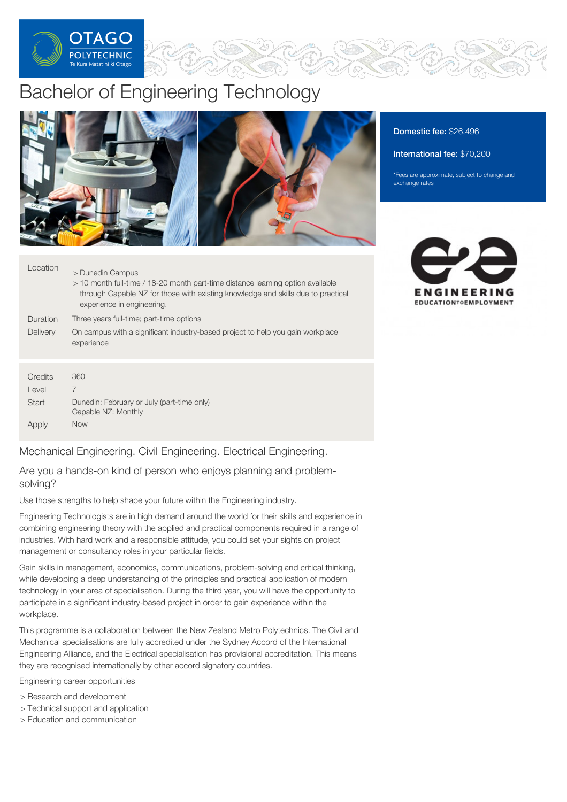

# Bachelor of Engineering Technology



# Domestic fee: \$26,496

#### International fee: \$70,200

\*Fees are approximate, subject to change and exchange rates

| Location | > Dunedin Campus<br>> 10 month full-time / 18-20 month part-time distance learning option available<br>through Capable NZ for those with existing knowledge and skills due to practical<br>experience in engineering. |
|----------|-----------------------------------------------------------------------------------------------------------------------------------------------------------------------------------------------------------------------|
| Duration | Three years full-time; part-time options                                                                                                                                                                              |
| Delivery | On campus with a significant industry-based project to help you gain workplace<br>experience                                                                                                                          |
| Credits  | 360                                                                                                                                                                                                                   |
|          |                                                                                                                                                                                                                       |
| Level    | 7                                                                                                                                                                                                                     |
| Start    | Dunedin: February or July (part-time only)<br>Capable NZ: Monthly                                                                                                                                                     |
| Apply    | <b>Now</b>                                                                                                                                                                                                            |

Mechanical Engineering. Civil Engineering. Electrical Engineering.

Are you a hands-on kind of person who enjoys planning and problemsolving?

Use those strengths to help shape your future within the Engineering industry.

Engineering Technologists are in high demand around the world for their skills and experience in combining engineering theory with the applied and practical components required in a range of industries. With hard work and a responsible attitude, you could set your sights on project management or consultancy roles in your particular fields.

Gain skills in management, economics, communications, problem-solving and critical thinking, while developing a deep understanding of the principles and practical application of modern technology in your area of specialisation. During the third year, you will have the opportunity to participate in a significant industry-based project in order to gain experience within the workplace.

This programme is a collaboration between the New Zealand Metro Polytechnics. The Civil and Mechanical specialisations are fully accredited under the Sydney Accord of the International Engineering Alliance, and the Electrical specialisation has provisional accreditation. This means they are recognised internationally by other accord signatory countries.

Engineering career opportunities

- > Research and development
- > Technical support and application
- > Education and communication

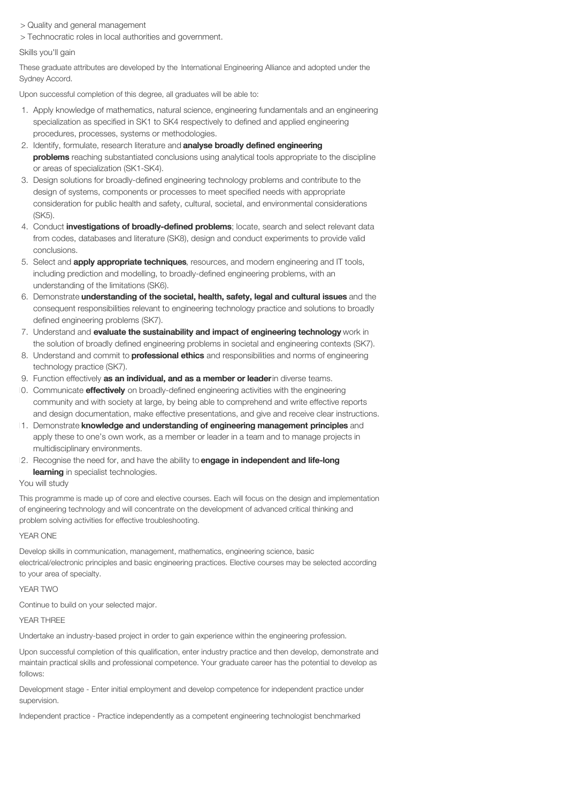> Quality and general management

> Technocratic roles in local authorities and government.

#### Skills you'll gain

These graduate attributes are developed by the International Engineering Alliance and adopted under the Sydney Accord.

Upon successful completion of this degree, all graduates will be able to:

- 1. Apply knowledge of mathematics, natural science, engineering fundamentals and an engineering specialization as specified in SK1 to SK4 respectively to defined and applied engineering procedures, processes, systems or methodologies.
- 2. Identify, formulate, research literature and **analyse broadly defined engineering** problems reaching substantiated conclusions using analytical tools appropriate to the discipline or areas of specialization (SK1-SK4).
- 3. Design solutions for broadly-defined engineering technology problems and contribute to the design of systems, components or processes to meet specified needs with appropriate consideration for public health and safety, cultural, societal, and environmental considerations (SK5).
- 4. Conduct **investigations of broadly-defined problems**; locate, search and select relevant data from codes, databases and literature (SK8), design and conduct experiments to provide valid conclusions.
- 5. Select and **apply appropriate techniques**, resources, and modern engineering and IT tools, including prediction and modelling, to broadly-defined engineering problems, with an understanding of the limitations (SK6).
- 6. Demonstrate understanding of the societal, health, safety, legal and cultural issues and the consequent responsibilities relevant to engineering technology practice and solutions to broadly defined engineering problems (SK7).
- 7. Understand and evaluate the sustainability and impact of engineering technology work in the solution of broadly defined engineering problems in societal and engineering contexts (SK7).
- 8. Understand and commit to **professional ethics** and responsibilities and norms of engineering technology practice (SK7).
- 9. Function effectively as an individual, and as a member or leader in diverse teams.
- 10. Communicate **effectively** on broadly-defined engineering activities with the engineering community and with society at large, by being able to comprehend and write effective reports and design documentation, make effective presentations, and give and receive clear instructions.
- 11. Demonstrate knowledge and understanding of engineering management principles and apply these to one's own work, as a member or leader in a team and to manage projects in multidisciplinary environments.
- 12. Recognise the need for, and have the ability to engage in independent and life-long learning in specialist technologies.

# You will study

This programme is made up of core and elective courses. Each will focus on the design and implementation of engineering technology and will concentrate on the development of advanced critical thinking and problem solving activities for effective troubleshooting.

#### YEAR ONE

Develop skills in communication, management, mathematics, engineering science, basic electrical/electronic principles and basic engineering practices. Elective courses may be selected according to your area of specialty.

#### YEAR TWO

Continue to build on your selected major.

YFAR THRFF

Undertake an industry-based project in order to gain experience within the engineering profession.

Upon successful completion of this qualification, enter industry practice and then develop, demonstrate and maintain practical skills and professional competence. Your graduate career has the potential to develop as follows:

Development stage - Enter initial employment and develop competence for independent practice under supervision.

Independent practice - Practice independently as a competent engineering technologist benchmarked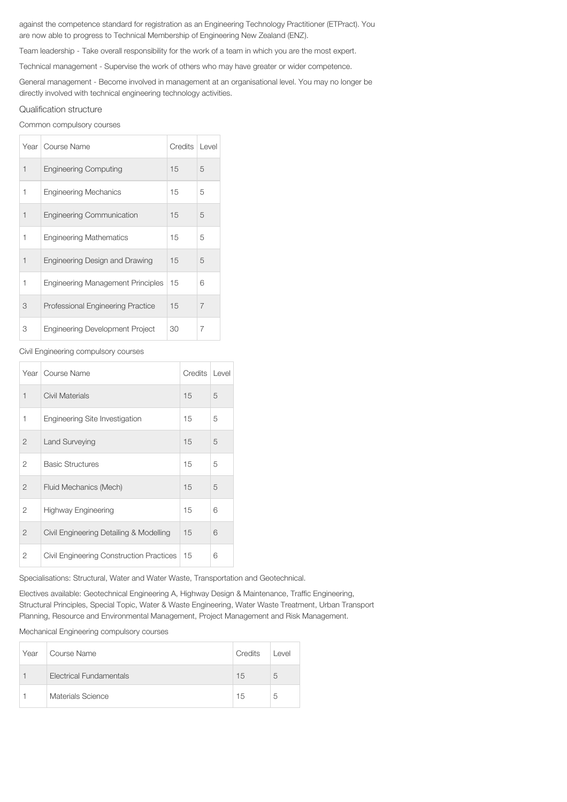against the competence standard for registration as an Engineering Technology Practitioner (ETPract). You are now able to progress to Technical Membership of Engineering New Zealand (ENZ).

Team leadership - Take overall responsibility for the work of a team in which you are the most expert.

Technical management - Supervise the work of others who may have greater or wider competence.

General management - Become involved in management at an organisational level. You may no longer be directly involved with technical engineering technology activities.

## Qualification structure

Common compulsory courses

|             | Year   Course Name                       | Credits | Level |
|-------------|------------------------------------------|---------|-------|
| $\mathbf 1$ | <b>Engineering Computing</b>             | 15      | 5     |
| 1           | <b>Engineering Mechanics</b>             | 15      | 5     |
| 1           | <b>Engineering Communication</b>         | 15      | 5     |
| 1           | <b>Engineering Mathematics</b>           | 15      | 5     |
| 1           | Engineering Design and Drawing           | 15      | 5     |
| 1           | <b>Engineering Management Principles</b> | 15      | 6     |
| 3           | <b>Professional Engineering Practice</b> | 15      | 7     |
| 3           | <b>Engineering Development Project</b>   | 30      | 7     |

# Civil Engineering compulsory courses

|                | Year   Course Name                       | Credits | Level |
|----------------|------------------------------------------|---------|-------|
| $\mathbf 1$    | Civil Materials                          | 15      | 5     |
| 1              | Engineering Site Investigation           | 15      | 5     |
| $\overline{2}$ | Land Surveying                           | 15      | 5     |
| 2              | <b>Basic Structures</b>                  | 15      | 5     |
| $\overline{2}$ | Fluid Mechanics (Mech)                   | 15      | 5     |
| 2              | Highway Engineering                      | 15      | 6     |
| $\mathfrak{D}$ | Civil Engineering Detailing & Modelling  | 15      | 6     |
| 2              | Civil Engineering Construction Practices | 15      | 6     |

Specialisations: Structural, Water and Water Waste, Transportation and Geotechnical.

Electives available: Geotechnical Engineering A, Highway Design & Maintenance, Traffic Engineering, Structural Principles, Special Topic, Water & Waste Engineering, Water Waste Treatment, Urban Transport Planning, Resource and Environmental Management, Project Management and Risk Management.

Mechanical Engineering compulsory courses

| Year | Course Name                    | Credits | Level |
|------|--------------------------------|---------|-------|
|      | <b>Electrical Fundamentals</b> | 15      | 5     |
|      | Materials Science              | 15      | 5     |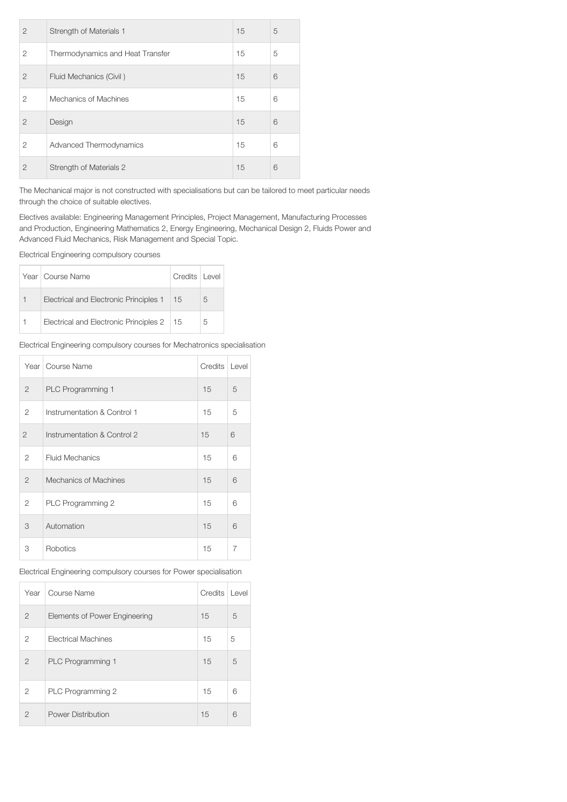| $\overline{2}$ | Strength of Materials 1          | 15 | 5 |
|----------------|----------------------------------|----|---|
| 2              | Thermodynamics and Heat Transfer | 15 | 5 |
| $\mathfrak{D}$ | Fluid Mechanics (Civil)          | 15 | 6 |
| $\overline{2}$ | Mechanics of Machines            | 15 | 6 |
| $\overline{2}$ | Design                           | 15 | 6 |
| 2              | Advanced Thermodynamics          | 15 | 6 |
| $\overline{2}$ | Strength of Materials 2          | 15 | 6 |

The Mechanical major is not constructed with specialisations but can be tailored to meet particular needs through the choice of suitable electives.

Electives available: Engineering Management Principles, Project Management, Manufacturing Processes and Production, Engineering Mathematics 2, Energy Engineering, Mechanical Design 2, Fluids Power and Advanced Fluid Mechanics, Risk Management and Special Topic.

Electrical Engineering compulsory courses

| Year   Course Name                     | Credits   Level |   |
|----------------------------------------|-----------------|---|
| Electrical and Electronic Principles 1 | -15             | 5 |
| Electrical and Electronic Principles 2 | -15             | 5 |

Electrical Engineering compulsory courses for Mechatronics specialisation

|                | Year   Course Name          | Credits | Level |
|----------------|-----------------------------|---------|-------|
| $\overline{2}$ | PLC Programming 1           | 15      | 5     |
| 2              | Instrumentation & Control 1 | 15      | 5     |
| $\overline{2}$ | Instrumentation & Control 2 | 15      | 6     |
| 2              | <b>Fluid Mechanics</b>      | 15      | 6     |
| $\overline{2}$ | Mechanics of Machines       | 15      | 6     |
| 2              | PLC Programming 2           | 15      | 6     |
| 3              | Automation                  | 15      | 6     |
| 3              | Robotics                    | 15      | 7     |

Electrical Engineering compulsory courses for Power specialisation

| Year           | Course Name                   | Credits | Level |
|----------------|-------------------------------|---------|-------|
| $\overline{2}$ | Elements of Power Engineering | 15      | 5     |
| $\overline{2}$ | <b>Electrical Machines</b>    | 15      | 5     |
| $\mathfrak{D}$ | PLC Programming 1             | 15      | 5     |
| 2              | PLC Programming 2             | 15      | 6     |
| $\mathfrak{D}$ | Power Distribution            | 15      | 6     |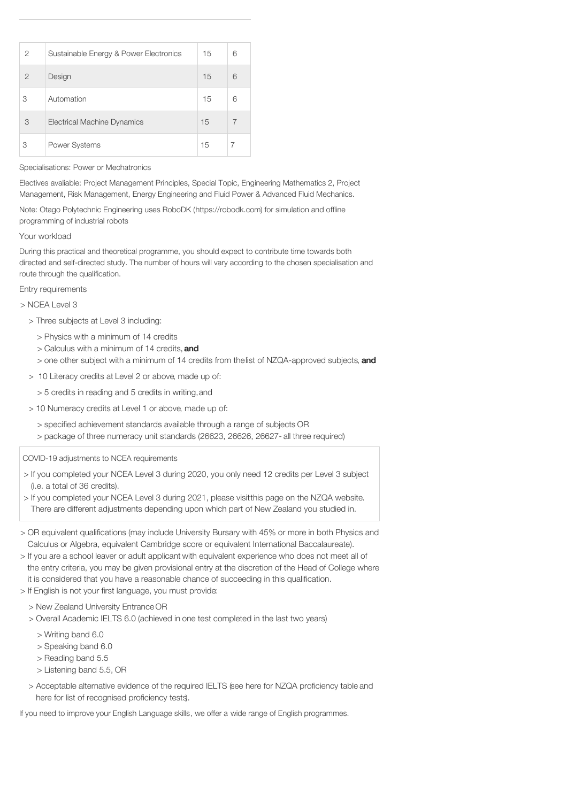| $\overline{2}$ | Sustainable Energy & Power Electronics | 15 | 6 |
|----------------|----------------------------------------|----|---|
| $\mathcal{P}$  | Design                                 | 15 | 6 |
| 3              | Automation                             | 15 | 6 |
| 3              | <b>Electrical Machine Dynamics</b>     | 15 |   |
| 3              | <b>Power Systems</b>                   | 15 |   |

## Specialisations: Power or Mechatronics

Electives avaliable: Project Management Principles, Special Topic, Engineering Mathematics 2, Project Management, Risk Management, Energy Engineering and Fluid Power & Advanced Fluid Mechanics.

Note: Otago Polytechnic Engineering uses RoboDK (https://robodk.com) for simulation and offline programming of industrial robots

## Your workload

During this practical and theoretical programme, you should expect to contribute time towards both directed and self-directed study. The number of hours will vary according to the chosen specialisation and route through the qualification.

Entry requirements

> NCEA Level 3

- > Three subjects at Level 3 including:
	- > Physics with a minimum of 14 credits
	- > Calculus with a minimum of 14 credits, and
	- > one other subject with a minimum of 14 credits from the list of NZQA-approved subjects, and
- > 10 Literacy credits at Level 2 or above, made up of:
	- > 5 credits in reading and 5 credits in writing,and
- > 10 Numeracy credits at Level 1 or above, made up of:
	- > specified achievement standards available through a range of subjects OR > package of three numeracy unit standards (26623, 26626, 26627- all three required)

COVID-19 adjustments to NCEA requirements

- > If you completed your NCEA Level 3 during 2020, you only need 12 credits per Level 3 subject (i.e. a total of 36 credits).
- > If you completed your NCEA Level 3 during 2021, please visitthis page on the NZQA website. There are different adjustments depending upon which part of New Zealand you studied in.
- > OR equivalent qualifications (may include University Bursary with 45% or more in both Physics and Calculus or Algebra, equivalent Cambridge score or equivalent International Baccalaureate).
- > If you are a school leaver or adult applicant with equivalent experience who does not meet all of the entry criteria, you may be given provisional entry at the discretion of the Head of College where it is considered that you have a reasonable chance of succeeding in this qualification.
- > If English is not your first language, you must provide:
	- > New Zealand University Entrance OR
	- > Overall Academic IELTS 6.0 (achieved in one test completed in the last two years)
		- > Writing band 6.0
		- > Speaking band 6.0
		- > Reading band 5.5
		- > Listening band 5.5, OR
	- > Acceptable alternative evidence of the required IELTS (see here for NZQA proficiency table and here for list of recognised proficiency tests).

If you need to improve your English Language skills, we offer a wide range of English programmes.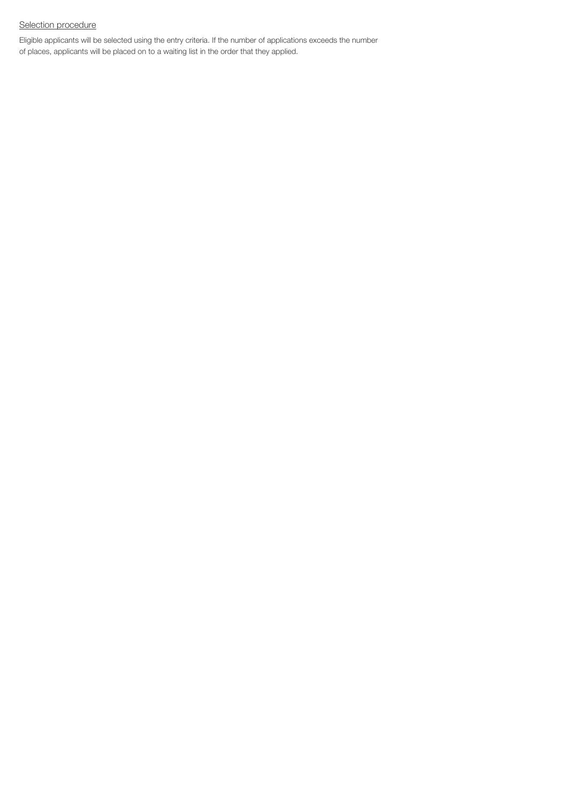# Selection procedure

Eligible applicants will be selected using the entry criteria. If the number of applications exceeds the number of places, applicants will be placed on to a waiting list in the order that they applied.